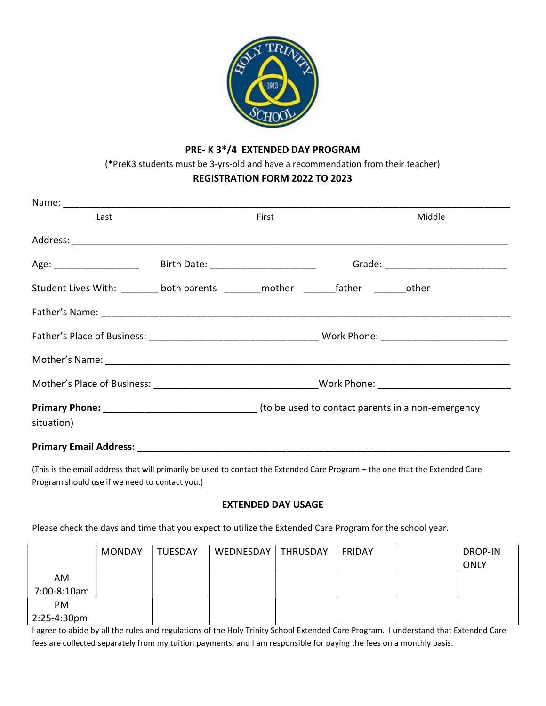

## PRE- K 3\*/4 EXTENDED DAY PROGRAM

(\*PreK3 students must be 3-yrs-old and have a recommendation from their teacher)

## REGISTRATION FORM 2022 TO 2023

| Last                                                                                                    |                                                                                                      | First |  | Middle |  |
|---------------------------------------------------------------------------------------------------------|------------------------------------------------------------------------------------------------------|-------|--|--------|--|
|                                                                                                         |                                                                                                      |       |  |        |  |
|                                                                                                         |                                                                                                      |       |  |        |  |
| Student Lives With: ________ both parents ________ mother ________father ________other                  |                                                                                                      |       |  |        |  |
|                                                                                                         |                                                                                                      |       |  |        |  |
|                                                                                                         |                                                                                                      |       |  |        |  |
|                                                                                                         |                                                                                                      |       |  |        |  |
|                                                                                                         | Mother's Place of Business: __________________________________Work Phone: __________________________ |       |  |        |  |
| <b>Primary Phone:</b> Material According to be used to contact parents in a non-emergency<br>situation) |                                                                                                      |       |  |        |  |
| Primary Email Address: _____________                                                                    |                                                                                                      |       |  |        |  |

(This is the email address that will primarily be used to contact the Extended Care Program – the one that the Extended Care Program should use if we need to contact you.)

## EXTENDED DAY USAGE

Please check the days and time that you expect to utilize the Extended Care Program for the school year.

|             | <b>MONDAY</b> | <b>TUESDAY</b> | WEDNESDAY | <b>THRUSDAY</b> | FRIDAY | DROP-IN<br><b>ONLY</b> |
|-------------|---------------|----------------|-----------|-----------------|--------|------------------------|
| AM          |               |                |           |                 |        |                        |
| 7:00-8:10am |               |                |           |                 |        |                        |
| PM          |               |                |           |                 |        |                        |
| 2:25-4:30pm |               |                |           |                 |        |                        |

I agree to abide by all the rules and regulations of the Holy Trinity School Extended Care Program. I understand that Extended Care fees are collected separately from my tuition payments, and I am responsible for paying the fees on a monthly basis.